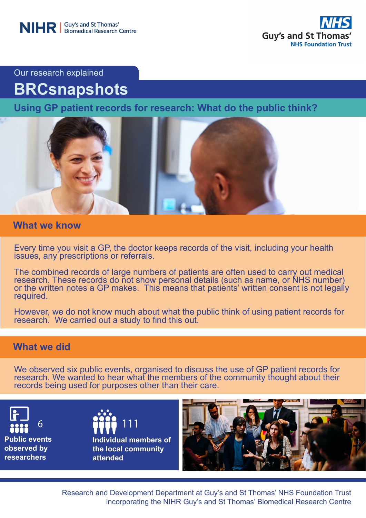

Our research explained

# **BRCsnapshots**

**Using GP patient records for research: What do the public think?** 



## **What we know**

Every time you visit a GP, the doctor keeps records of the visit, including your health issues, any prescriptions or referrals.

The combined records of large numbers of patients are often used to carry out medical research. These records do not show personal details (such as name, or NHS number) or the written notes a GP makes. This means that patients' written consent is not legally required.

However, we do not know much about what the public think of using patient records for research. We carried out a study to find this out.

## **What we did**

We observed six public events, organised to discuss the use of GP patient records for research. We wanted to hear what the members of the community thought about their records being used for purposes other than their care.

**Public events observed by researchers** 

6 **11111 1111 Individual members of the local community attended**



Research and Development Department at Guy's and St Thomas' NHS Foundation Trust incorporating the NIHR Guy's and St Thomas' Biomedical Research Centre